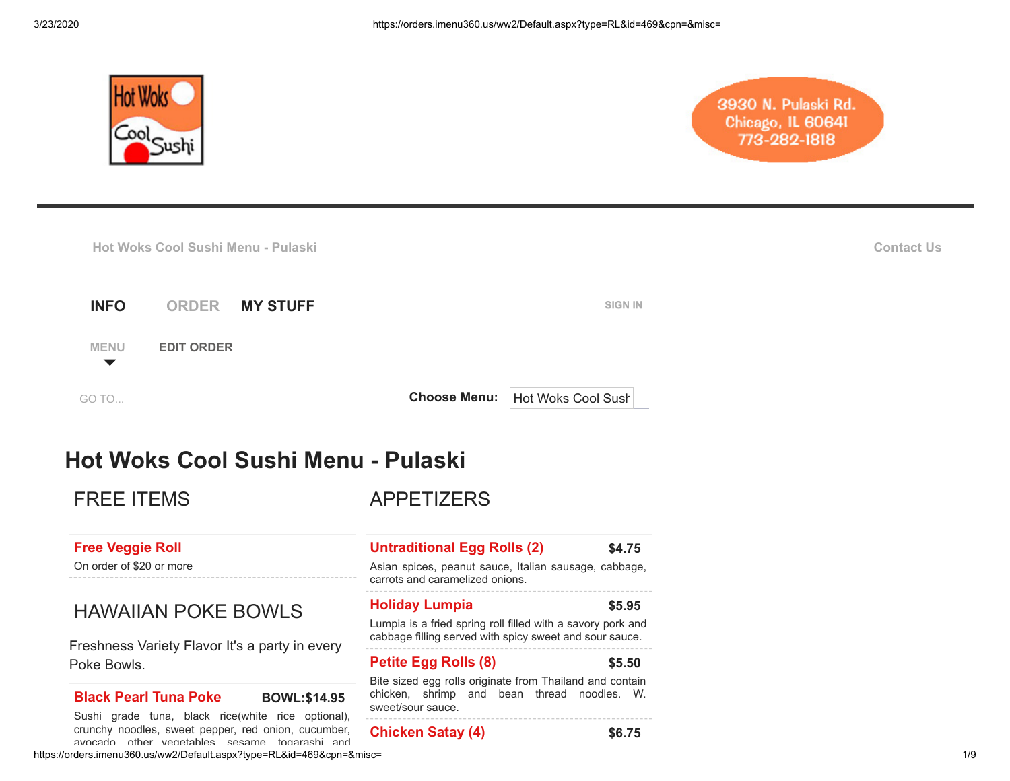

# 3930 N. Pulaski Rd. Chicago, IL 60641 773-282-1818

|                                     | Hot Woks Cool Sushi Menu - Pulaski |                | <b>Contact Us</b> |
|-------------------------------------|------------------------------------|----------------|-------------------|
| <b>INFO</b>                         | <b>ORDER</b><br><b>MY STUFF</b>    | <b>SIGN IN</b> |                   |
| <b>MENU</b><br>$\blacktriangledown$ | <b>EDIT ORDER</b>                  |                |                   |

[GO TO...](javascript:void(0);) **GO TO... GO TO... GO TO... GO TO... GO TO... GO TO... GO TO... GO TO... GO TO... GO COOL SUS Choose Menu:**

# **Hot Woks Cool Sushi Menu - Pulaski**

FREE ITEMS

APPETIZERS

# **[Free Veggie Roll](javascript:void(0);)**

On order of \$20 or more

# HAWAIIAN POKE BOWLS

Freshness Variety Flavor It's a party in every Poke Bowls.

# **[Black Pearl Tuna Poke](javascript:void(0);) BOWL:\$14.95**

https://orders.imenu360.us/ww2/Default.aspx?type=RL&id=469&cpn=&misc= 1/9 Sushi grade tuna, black rice(white rice optional), crunchy noodles, sweet pepper, red onion, cucumber, avocado other vegetables sesame togarashi and

## **[Untraditional Egg Rolls \(2\)](javascript:void(0);) \$4.75**

Asian spices, peanut sauce, Italian sausage, cabbage, carrots and caramelized onions.

### **[Holiday Lumpia](javascript:void(0);) \$5.95**

Lumpia is a fried spring roll filled with a savory pork and

cabbage filling served with spicy sweet and sour sauce.

## **[Petite Egg Rolls \(8\)](javascript:void(0);) \$5.50**

Bite sized egg rolls originate from Thailand and contain chicken, shrimp and bean thread noodles. W. sweet/sour sauce.

#### **[Chicken Satay \(4\)](javascript:void(0);) \$6.75**

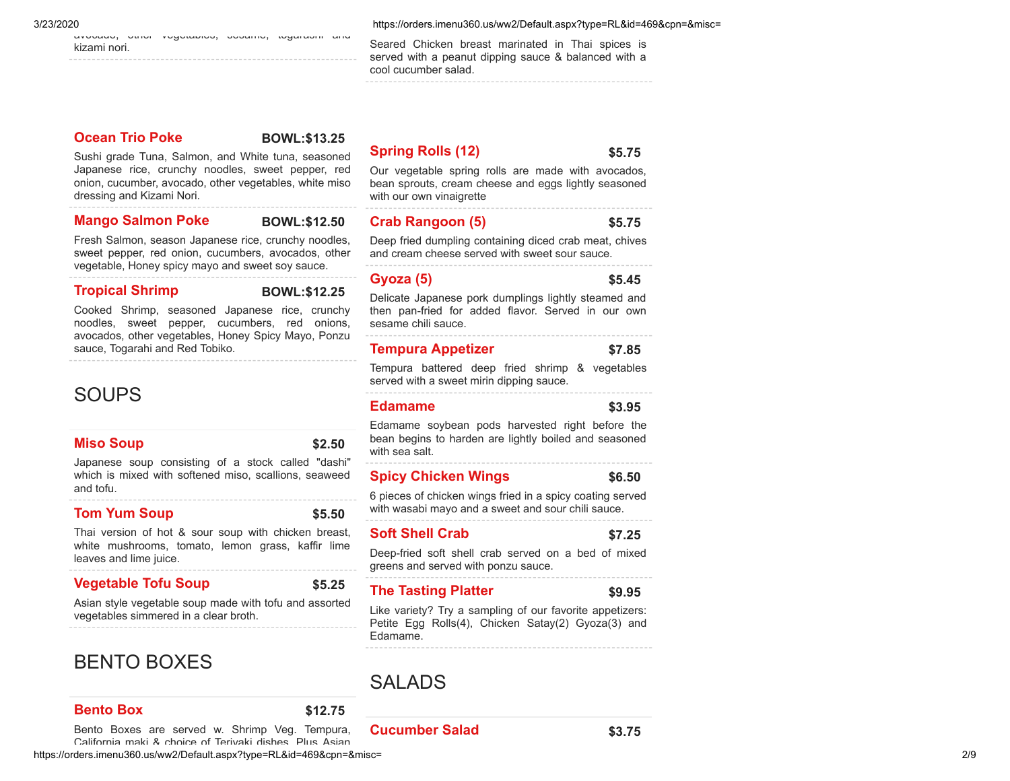avocado, other vegetables, sesame, togarashi and kizami nori.

3/23/2020 https://orders.imenu360.us/ww2/Default.aspx?type=RL&id=469&cpn=&misc=

Seared Chicken breast marinated in Thai spices is served with a peanut dipping sauce & balanced with a cool cucumber salad.

**[Ocean Trio Poke](javascript:void(0);) BOWL:\$13.25** 

Sushi grade Tuna, Salmon, and White tuna, seasoned Japanese rice, crunchy noodles, sweet pepper, red onion, cucumber, avocado, other vegetables, white miso dressing and Kizami Nori.

#### **[Mango Salmon Poke](javascript:void(0);) BOWL:\$12.50**

Fresh Salmon, season Japanese rice, crunchy noodles, sweet pepper, red onion, cucumbers, avocados, other

vegetable, Honey spicy mayo and sweet soy sauce.

#### **[Tropical Shrimp](javascript:void(0);) BOWL:\$12.25**

Cooked Shrimp, seasoned Japanese rice, crunchy

noodles, sweet pepper, cucumbers, red onions, avocados, other vegetables, Honey Spicy Mayo, Ponzu sauce, Togarahi and Red Tobiko.

# **SOUPS**

#### **[Miso Soup](javascript:void(0);) \$2.50**

Japanese soup consisting of a stock called "dashi" which is mixed with softened miso, scallions, seaweed and tofu.

## **[Tom Yum Soup](javascript:void(0);) \$5.50**

Thai version of hot & sour soup with chicken breast, white mushrooms, tomato, lemon grass, kaffir lime leaves and lime juice.

## **[Vegetable Tofu Soup](javascript:void(0);) \$5.25**

Asian style vegetable soup made with tofu and assorted vegetables simmered in a clear broth.

# BENTO BOXES

## **[Bento Box](javascript:void(0);) \$12.75**

**[Cucumber Salad](javascript:void(0);) \$3.75**

https://orders.imenu360.us/ww2/Default.aspx?type=RL&id=469&cpn=&misc= 2/9 Bento Boxes are served w. Shrimp Veg. Tempura, California maki & choice of Teriyaki dishes Plus Asian

# **[Spring Rolls \(12\)](javascript:void(0);) \$5.75**

Our vegetable spring rolls are made with avocados, bean sprouts, cream cheese and eggs lightly seasoned with our own vinaigrette

## **[Crab Rangoon \(5\)](javascript:void(0);) \$5.75**

Deep fried dumpling containing diced crab meat, chives and cream cheese served with sweet sour sauce.

#### **[Gyoza \(5\)](javascript:void(0);) \$5.45**

#### Delicate Japanese pork dumplings lightly steamed and then pan-fried for added flavor. Served in our own sesame chili sauce.

# **[Tempura Appetizer](javascript:void(0);) \$7.85**

Tempura battered deep fried shrimp & vegetables served with a sweet mirin dipping sauce.

#### **[Edamame](javascript:void(0);) \$3.95**

Edamame soybean pods harvested right before the bean begins to harden are lightly boiled and seasoned with sea salt.

# **[Spicy Chicken Wings](javascript:void(0);) \$6.50**

6 pieces of chicken wings fried in a spicy coating served with wasabi mayo and a sweet and sour chili sauce.

## **[Soft Shell Crab](javascript:void(0);) \$7.25**

Deep-fried soft shell crab served on a bed of mixed greens and served with ponzu sauce.

# **[The Tasting Platter](javascript:void(0);) \$9.95**

Like variety? Try a sampling of our favorite appetizers: Petite Egg Rolls(4), Chicken Satay(2) Gyoza(3) and Edamame.

# SALADS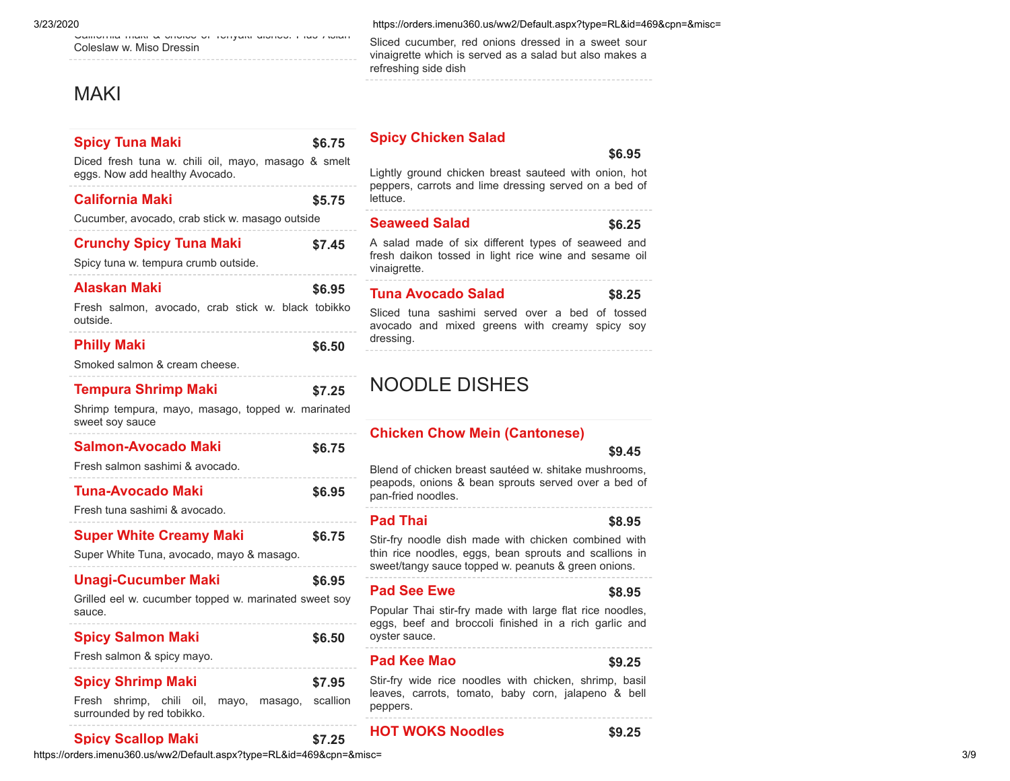California maki & choice of Teriyaki dishes. Plus Asian Coleslaw w. Miso Dressin

# **MAKI**

| <b>Spicy Tuna Maki</b>                                                                | \$6.75             |
|---------------------------------------------------------------------------------------|--------------------|
| Diced fresh tuna w. chili oil, mayo, masago & smelt<br>eggs. Now add healthy Avocado. |                    |
| <b>California Maki</b>                                                                | \$5.75             |
| Cucumber, avocado, crab stick w. masago outside                                       |                    |
| <b>Crunchy Spicy Tuna Maki</b><br>Spicy tuna w. tempura crumb outside.                | \$7.45             |
| <b>Alaskan Maki</b>                                                                   | \$6.95             |
| Fresh salmon, avocado, crab stick w. black tobikko<br>outside.                        |                    |
| <b>Philly Maki</b>                                                                    | \$6.50             |
| Smoked salmon & cream cheese.                                                         |                    |
| <b>Tempura Shrimp Maki</b>                                                            | \$7.25             |
| Shrimp tempura, mayo, masago, topped w. marinated<br>sweet soy sauce                  |                    |
| Salmon-Avocado Maki                                                                   | \$6.75             |
| Fresh salmon sashimi & avocado.                                                       |                    |
| <b>Tuna-Avocado Maki</b>                                                              | \$6.95             |
| Fresh tuna sashimi & avocado.                                                         |                    |
| <b>Super White Creamy Maki</b>                                                        | \$6.75             |
| Super White Tuna, avocado, mayo & masago.                                             |                    |
| <b>Unagi-Cucumber Maki</b>                                                            | \$6.95             |
| Grilled eel w. cucumber topped w. marinated sweet soy<br>sauce.                       |                    |
| <b>Spicy Salmon Maki</b>                                                              | \$6.50             |
| Fresh salmon & spicy mayo.                                                            |                    |
| <b>Spicy Shrimp Maki</b><br>shrimp, chili oil,<br>Fresh<br>mayo,<br>masago,           | \$7.95<br>scallion |
| surrounded by red tobikko.                                                            |                    |
| Snicy Scallon Maki                                                                    | ぐて つに              |

#### 3/23/2020 https://orders.imenu360.us/ww2/Default.aspx?type=RL&id=469&cpn=&misc=

Sliced cucumber, red onions dressed in a sweet sour vinaigrette which is served as a salad but also makes a refreshing side dish

# **[Spicy Chicken Salad](javascript:void(0);)**

#### **\$6.95**

Lightly ground chicken breast sauteed with onion, hot peppers, carrots and lime dressing served on a bed of lettuce.

### **[Seaweed Salad](javascript:void(0);) \$6.25**

A salad made of six different types of seaweed and fresh daikon tossed in light rice wine and sesame oil vinaigrette.

# **[Tuna Avocado Salad](javascript:void(0);) \$8.25**

Sliced tuna sashimi served over a bed of tossed avocado and mixed greens with creamy spicy soy dressing.

# NOODLE DISHES

## **[Chicken Chow Mein \(Cantonese\)](javascript:void(0);)**

**\$9.45**

Blend of chicken breast sautéed w. shitake mushrooms, peapods, onions & bean sprouts served over a bed of pan-fried noodles.

## **[Pad Thai](javascript:void(0);) \$8.95**

Stir-fry noodle dish made with chicken combined with thin rice noodles, eggs, bean sprouts and scallions in sweet/tangy sauce topped w. peanuts & green onions.

### **[Pad See Ewe](javascript:void(0);) \$8.95**

Popular Thai stir-fry made with large flat rice noodles, eggs, beef and broccoli finished in a rich garlic and oyster sauce.

#### **[Pad Kee Mao](javascript:void(0);) \$9.25**

Stir-fry wide rice noodles with chicken, shrimp, basil leaves, carrots, tomato, baby corn, jalapeno & bell peppers.

## **[Spicy Scallop Maki](javascript:void(0);) \$7.25**

## **[HOT WOKS Noodles](javascript:void(0);) \$9.25**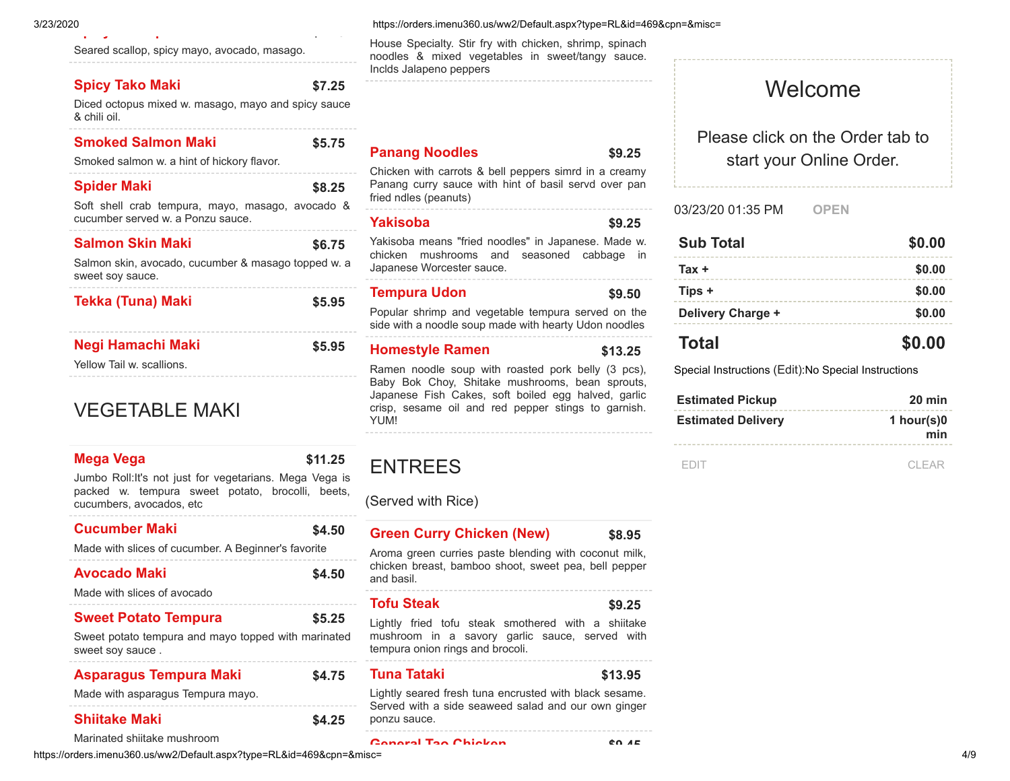Seared scallop, spicy mayo, avocado, masago.

# **[Spicy Tako Maki](javascript:void(0);) \$7.25**

Diced octopus mixed w. masago, mayo and spicy sauce & chili oil.

**[p](javascript:void(0);) y p \$ 5**

| <b>Smoked Salmon Maki</b><br>Smoked salmon w. a hint of hickory flavor.                                    | \$5.75 |
|------------------------------------------------------------------------------------------------------------|--------|
| <b>Spider Maki</b><br>Soft shell crab tempura, mayo, masago, avocado &<br>cucumber served w a Ponzu sauce. | \$8.25 |
| <b>Salmon Skin Maki</b><br>Salmon skin, avocado, cucumber & masago topped w. a                             | \$6.75 |
| sweet soy sauce.<br><b>Tekka (Tuna) Maki</b>                                                               | \$5.95 |
| Negi Hamachi Maki<br>Yellow Tail w. scallions.                                                             | \$5.95 |

# VEGETABLE MAKI

# **[Mega Vega](javascript:void(0);) \$11.25**

Jumbo Roll:It's not just for vegetarians. Mega Vega is packed w. tempura sweet potato, brocolli, beets, cucumbers, avocados, etc

| <b>Cucumber Maki</b><br>Made with slices of cucumber. A Beginner's favorite                            | \$4.50 |
|--------------------------------------------------------------------------------------------------------|--------|
| Avocado Maki<br>Made with slices of avocado                                                            | \$4.50 |
| <b>Sweet Potato Tempura</b><br>Sweet potato tempura and mayo topped with marinated<br>sweet soy sauce. | \$5.25 |
| <b>Asparagus Tempura Maki</b><br>Made with asparagus Tempura mayo.                                     | \$4.75 |
| <b>Shiitake Maki</b>                                                                                   | \$4.25 |

Inclds Jalapeno peppers

## **[Panang Noodles](javascript:void(0);) \$9.25**

Chicken with carrots & bell peppers simrd in a creamy Panang curry sauce with hint of basil servd over pan fried ndles (peanuts)

House Specialty. Stir fry with chicken, shrimp, spinach noodles & mixed vegetables in sweet/tangy sauce.

### **[Yakisoba](javascript:void(0);) \$9.25**

Yakisoba means "fried noodles" in Japanese. Made w. chicken mushrooms and seasoned cabbage in Japanese Worcester sauce.

#### **[Tempura Udon](javascript:void(0);) \$9.50**

Popular shrimp and vegetable tempura served on the side with a noodle soup made with hearty Udon noodles

#### **[Homestyle Ramen](javascript:void(0);) \$13.25**

Ramen noodle soup with roasted pork belly (3 pcs), Baby Bok Choy, Shitake mushrooms, bean sprouts, Japanese Fish Cakes, soft boiled egg halved, garlic crisp, sesame oil and red pepper stings to garnish. YUM!

# ENTREES

(Served with Rice)

# **[Green Curry Chicken \(New\)](javascript:void(0);) \$8.95 [Tofu Steak](javascript:void(0);) \$9.25 [Tuna Tataki](javascript:void(0);) \$13.95** Aroma green curries paste blending with coconut milk, chicken breast, bamboo shoot, sweet pea, bell pepper and basil. Lightly fried tofu steak smothered with a shiitake mushroom in a savory garlic sauce, served with tempura onion rings and brocoli. Lightly seared fresh tuna encrusted with black sesame. Served with a side seaweed salad and our own ginger ponzu sauce.

start your Online Order.

Welcome

Please click on the Order tab to

#### 03/23/20 01:35 PM **OPEN**

| <b>Sub Total</b>  | \$0.00 |
|-------------------|--------|
| $Tax +$           | \$0.00 |
| Tips +            | \$0.00 |
| Delivery Charge + | \$0.00 |
| <b>Total</b>      | \$0.00 |

Special Instructions [\(Edit\)](javascript:void(0);):No Special Instructions

| <b>Estimated Pickup</b>   | $20 \text{ min}$     |
|---------------------------|----------------------|
| <b>Estimated Delivery</b> | 1 hour(s) $0$<br>min |
|                           |                      |

[EDIT](javascript:void(0);) [CLEAR](javascript:void(0);)

Marinated shiitake mushroom

https://orders.imenu360.us/ww2/Default.aspx?type=RL&id=469&cpn=&misc= 4/9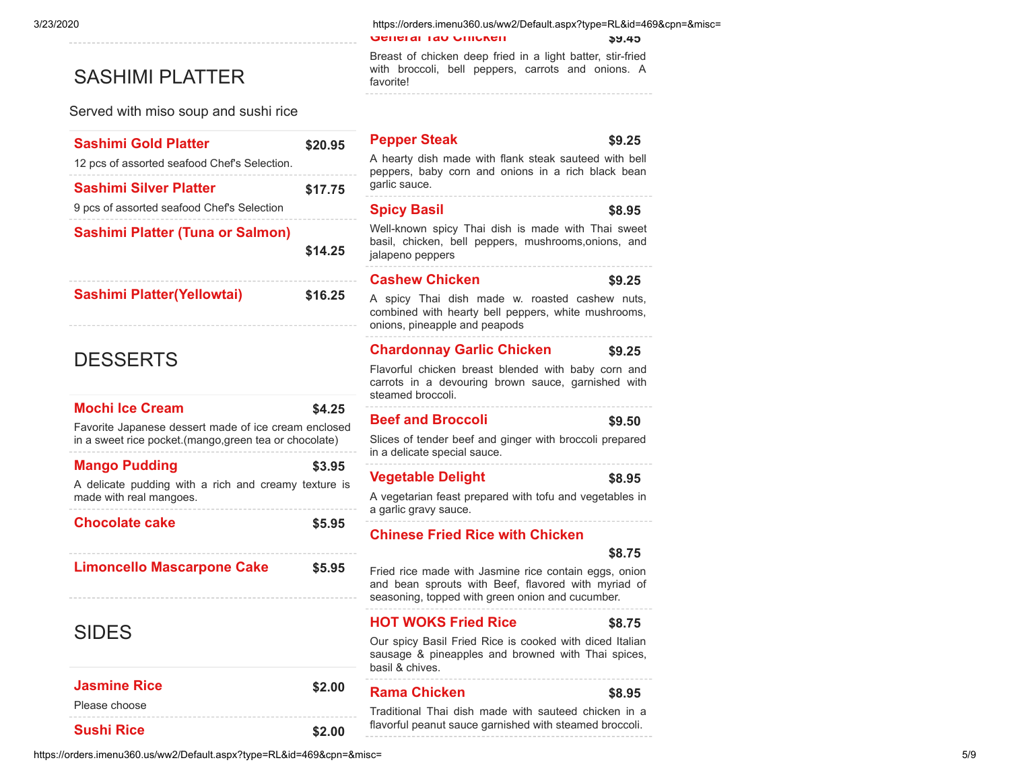# SASHIMI PLATTER

Served with miso soup and sushi rice

| <b>Sashimi Gold Platter</b>                                                                                   | \$20.95 |
|---------------------------------------------------------------------------------------------------------------|---------|
| 12 pcs of assorted seafood Chef's Selection.                                                                  |         |
| <b>Sashimi Silver Platter</b>                                                                                 | \$17.75 |
| 9 pcs of assorted seafood Chef's Selection                                                                    |         |
| <b>Sashimi Platter (Tuna or Salmon)</b>                                                                       |         |
|                                                                                                               | \$14.25 |
|                                                                                                               |         |
| <b>Sashimi Platter(Yellowtai)</b>                                                                             | \$16.25 |
|                                                                                                               |         |
|                                                                                                               |         |
| <b>DESSERTS</b>                                                                                               |         |
|                                                                                                               |         |
| <b>Mochi Ice Cream</b>                                                                                        | \$4.25  |
| Favorite Japanese dessert made of ice cream enclosed<br>in a sweet rice pocket.(mango,green tea or chocolate) |         |
| <b>Mango Pudding</b>                                                                                          | \$3.95  |
| A delicate pudding with a rich and creamy texture is<br>made with real mangoes.                               |         |
| <b>Chocolate cake</b>                                                                                         | \$5.95  |
|                                                                                                               |         |
| <b>Limoncello Mascarpone Cake</b>                                                                             | \$5.95  |
|                                                                                                               |         |
|                                                                                                               |         |
| <b>SIDES</b>                                                                                                  |         |
|                                                                                                               |         |
| <b>Jasmine Rice</b>                                                                                           | \$2.00  |
|                                                                                                               |         |
| Please choose                                                                                                 |         |

| https://orders.imenu360.us/ww2/Default.aspx?type=RL&id=469&cpn=&misc= |  |
|-----------------------------------------------------------------------|--|
|                                                                       |  |

**[Sushi Rice](javascript:void(0);) \$2.00** 

3/23/2020 https://orders.imenu360.us/ww2/Default.aspx?type=RL&id=469&cpn=&misc=

**[General Tao Chicken](javascript:void(0);) \$9.45**

Breast of chicken deep fried in a light batter, stir-fried with broccoli, bell peppers, carrots and onions. A favorite!

# **[Pepper Steak](javascript:void(0);) \$9.25 [Spicy Basil](javascript:void(0);) \$8.95 [Cashew Chicken](javascript:void(0);) \$9.25 [Chardonnay Garlic Chicken](javascript:void(0);) \$9.25 [Beef and Broccoli](javascript:void(0);) \$9.50** A hearty dish made with flank steak sauteed with bell peppers, baby corn and onions in a rich black bean garlic sauce. Well-known spicy Thai dish is made with Thai sweet basil, chicken, bell peppers, mushrooms,onions, and jalapeno peppers A spicy Thai dish made w. roasted cashew nuts, combined with hearty bell peppers, white mushrooms, onions, pineapple and peapods Flavorful chicken breast blended with baby corn and carrots in a devouring brown sauce, garnished with steamed broccoli. Slices of tender beef and ginger with broccoli prepared in a delicate special sauce.

### **[Vegetable Delight](javascript:void(0);) \$8.95**

A vegetarian feast prepared with tofu and vegetables in a garlic gravy sauce.

**[Chinese Fried Rice with Chicken](javascript:void(0);)**

#### **\$8.75**

Fried rice made with Jasmine rice contain eggs, onion and bean sprouts with Beef, flavored with myriad of seasoning, topped with green onion and cucumber.

# **[HOT WOKS Fried Rice](javascript:void(0);) \$8.75**

Our spicy Basil Fried Rice is cooked with diced Italian sausage & pineapples and browned with Thai spices, basil & chives.

### **[Rama Chicken](javascript:void(0);) \$8.95**

Traditional Thai dish made with sauteed chicken in a flavorful peanut sauce garnished with steamed broccoli.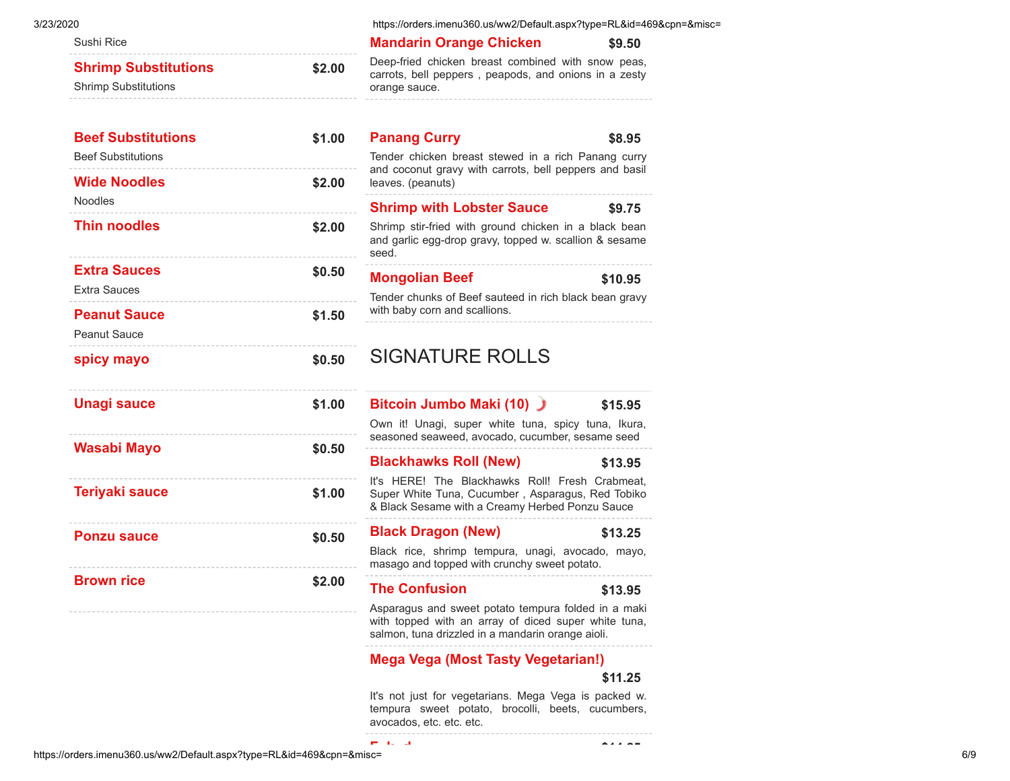| )20<br>Sushi Rice                                          |        |
|------------------------------------------------------------|--------|
| <b>Shrimp Substitutions</b><br><b>Shrimp Substitutions</b> | \$2.00 |
| <b>Beef Substitutions</b><br><b>Beef Substitutions</b>     | \$1.00 |
| <b>Wide Noodles</b><br>Noodles                             | \$2.00 |
| <b>Thin noodles</b>                                        | \$2.00 |
| <b>Extra Sauces</b><br><b>Extra Sauces</b>                 | \$0.50 |
| <b>Peanut Sauce</b><br><b>Peanut Sauce</b>                 | \$1.50 |
| spicy mayo                                                 | \$0.50 |
| <b>Unagi sauce</b>                                         | \$1.00 |
| Wasabi Mayo                                                | \$0.50 |
| <b>Teriyaki sauce</b>                                      | \$1.00 |
| <b>Ponzu sauce</b>                                         | \$0.50 |
| <b>Brown rice</b>                                          | \$2.00 |

3/23/2020 https://orders.imenu360.us/ww2/Default.aspx?type=RL&id=469&cpn=&misc=

## **[Mandarin Orange Chicken](javascript:void(0);)** \$9.50

eep-fried chicken breast combined with snow peas, arrots, bell peppers, peapods, and onions in a zesty ange sauce. 

| <b>Panang Curry</b><br>Tender chicken breast stewed in a rich Panang curry<br>and coconut gravy with carrots, bell peppers and basil<br>leaves. (peanuts)                               | \$8.95  |
|-----------------------------------------------------------------------------------------------------------------------------------------------------------------------------------------|---------|
| <b>Shrimp with Lobster Sauce</b><br>Shrimp stir-fried with ground chicken in a black bean<br>and garlic egg-drop gravy, topped w. scallion & sesame                                     | \$9.75  |
| seed.                                                                                                                                                                                   |         |
| <b>Mongolian Beef</b><br>Tender chunks of Beef sauteed in rich black bean gravy<br>with baby corn and scallions.                                                                        | \$10.95 |
| <b>SIGNATURE ROLLS</b>                                                                                                                                                                  |         |
| Bitcoin Jumbo Maki (10)<br>Own it! Unagi, super white tuna, spicy tuna, Ikura,<br>seasoned seaweed, avocado, cucumber, sesame seed                                                      | \$15.95 |
| <b>Blackhawks Roll (New)</b><br>It's HERE! The Blackhawks Roll! Fresh Crabmeat,<br>Super White Tuna, Cucumber, Asparagus, Red Tobiko<br>& Black Sesame with a Creamy Herbed Ponzu Sauce | \$13.95 |
| <b>Black Dragon (New)</b>                                                                                                                                                               | \$13.25 |
| Black rice, shrimp tempura, unagi, avocado, mayo,<br>masago and topped with crunchy sweet potato.                                                                                       |         |
| <b>The Confusion</b>                                                                                                                                                                    | \$13.95 |
| Asparagus and sweet potato tempura folded in a maki<br>with topped with an array of diced super white tuna,<br>salmon, tuna drizzled in a mandarin orange aioli.                        |         |
| <b>Mega Vega (Most Tasty Vegetarian!)</b>                                                                                                                                               |         |
|                                                                                                                                                                                         | \$11.25 |

It's not just for vegetarians. Mega Vega is packed w. tempura sweet potato, brocolli, beets, cucumbers, avocados, etc. etc. etc.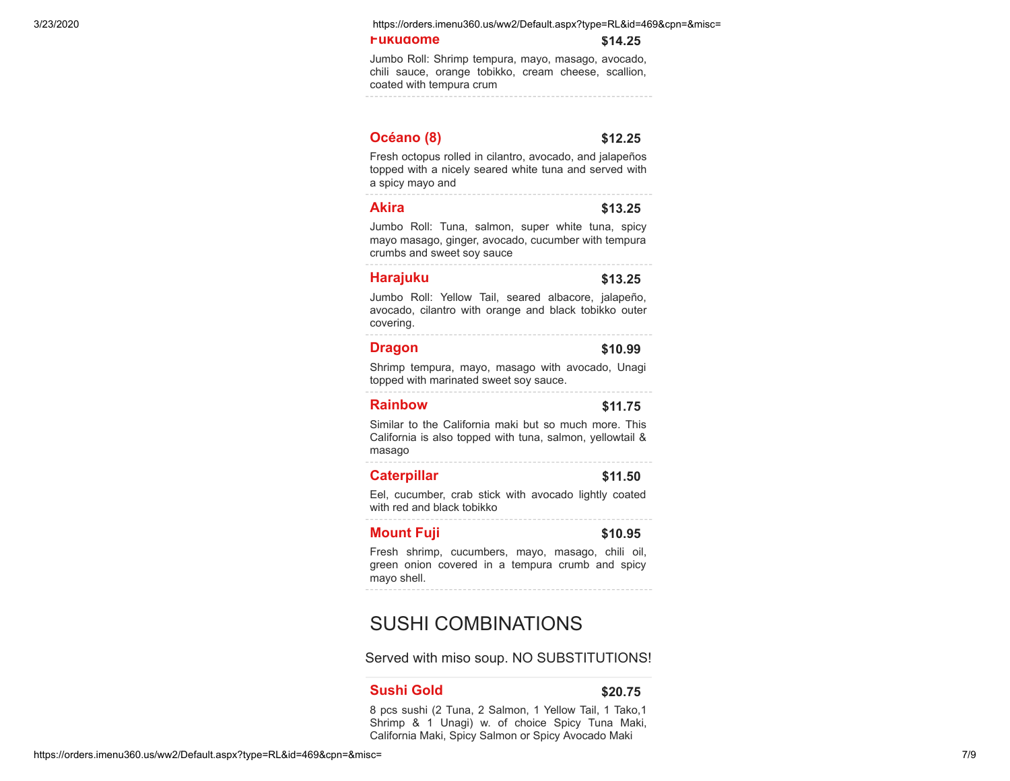3/23/2020 https://orders.imenu360.us/ww2/Default.aspx?type=RL&id=469&cpn=&misc=

#### **[Fukudome](javascript:void(0);) \$14.25**

Jumbo Roll: Shrimp tempura, mayo, masago, avocado, chili sauce, orange tobikko, cream cheese, scallion, coated with tempura crum

## **[Océano \(8\)](javascript:void(0);) \$12.25**

Fresh octopus rolled in cilantro, avocado, and jalapeños topped with a nicely seared white tuna and served with a spicy mayo and

# **[Akira](javascript:void(0);) \$13.25**

Jumbo Roll: Tuna, salmon, super white tuna, spicy mayo masago, ginger, avocado, cucumber with tempura crumbs and sweet soy sauce

#### **[Harajuku](javascript:void(0);) \$13.25**

Jumbo Roll: Yellow Tail, seared albacore, jalapeño, avocado, cilantro with orange and black tobikko outer covering.

#### **[Dragon](javascript:void(0);) \$10.99**

Shrimp tempura, mayo, masago with avocado, Unagi topped with marinated sweet soy sauce.

#### **[Rainbow](javascript:void(0);) \$11.75**

Similar to the California maki but so much more. This California is also topped with tuna, salmon, yellowtail & masago

#### **[Caterpillar](javascript:void(0);) \$11.50**

Eel, cucumber, crab stick with avocado lightly coated with red and black tobikko

#### **[Mount Fuji](javascript:void(0);)** \$10.95

Fresh shrimp, cucumbers, mayo, masago, chili oil, green onion covered in a tempura crumb and spicy mayo shell.

# SUSHI COMBINATIONS

Served with miso soup. NO SUBSTITUTIONS!

#### **[Sushi Gold](javascript:void(0);) \$20.75**

8 pcs sushi (2 Tuna, 2 Salmon, 1 Yellow Tail, 1 Tako,1 Shrimp & 1 Unagi) w. of choice Spicy Tuna Maki, California Maki, Spicy Salmon or Spicy Avocado Maki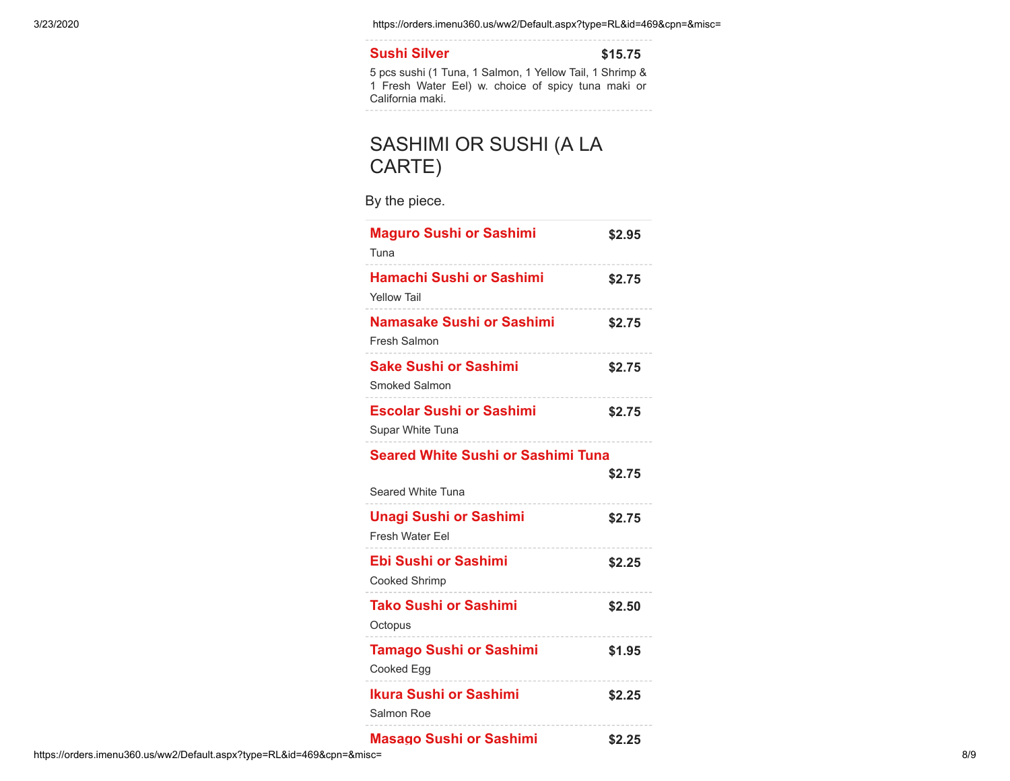3/23/2020 https://orders.imenu360.us/ww2/Default.aspx?type=RL&id=469&cpn=&misc=

# **[Sushi Silver](javascript:void(0);) \$15.75**

5 pcs sushi (1 Tuna, 1 Salmon, 1 Yellow Tail, 1 Shrimp & 1 Fresh Water Eel) w. choice of spicy tuna maki or California maki.

# SASHIMI OR SUSHI (A LA CARTE)

By the piece.

| <b>Maguro Sushi or Sashimi</b><br>Tuna                         | \$2.95 |
|----------------------------------------------------------------|--------|
| Hamachi Sushi or Sashimi<br><b>Yellow Tail</b>                 | \$2.75 |
| Namasake Sushi or Sashimi<br>Fresh Salmon                      | \$2.75 |
| <b>Sake Sushi or Sashimi</b><br><b>Smoked Salmon</b>           | \$2.75 |
| <b>Escolar Sushi or Sashimi</b><br>Supar White Tuna            | \$2.75 |
| <b>Seared White Sushi or Sashimi Tuna</b><br>Seared White Tuna | \$2.75 |
| <b>Unagi Sushi or Sashimi</b><br><b>Fresh Water Eel</b>        | \$2.75 |
| <b>Ebi Sushi or Sashimi</b><br><b>Cooked Shrimp</b>            | \$2.25 |
| <b>Tako Sushi or Sashimi</b><br>Octopus                        | \$2.50 |
| <b>Tamago Sushi or Sashimi</b><br>Cooked Egg                   | \$1.95 |
| Ikura Sushi or Sashimi<br>Salmon Roe                           | \$2.25 |
| <b>Masago Sushi or Sashimi</b>                                 | \$2.25 |

https://orders.imenu360.us/ww2/Default.aspx?type=RL&id=469&cpn=&misc= 8/9